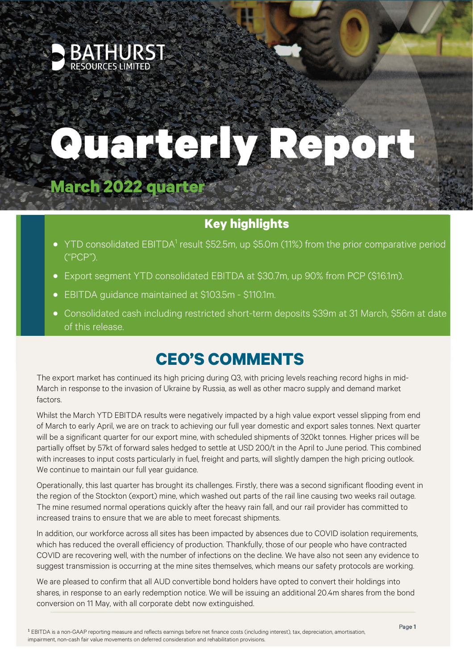

# Prenchy Pont

# **March 2022 quarter**

## **Key highlights**

- YTD consolidated EBITDA<sup>1</sup> result \$52.5m, up \$5.0m (11%) from the prior comparative period ("PCP").
- Export segment YTD consolidated EBITDA at \$30.7m, up 90% from PCP (\$16.1m).
- EBITDA guidance maintained at \$103.5m \$110.1m.
- Consolidated cash including restricted short-term deposits \$39m at 31 March, \$56m at date of this release.

# **CEO'S COMMENTS**

The export market has continued its high pricing during Q3, with pricing levels reaching record highs in mid-March in response to the invasion of Ukraine by Russia, as well as other macro supply and demand market factors.

Whilst the March YTD EBITDA results were negatively impacted by a high value export vessel slipping from end of March to early April, we are on track to achieving our full year domestic and export sales tonnes. Next quarter will be a significant quarter for our export mine, with scheduled shipments of 320kt tonnes. Higher prices will be partially offset by 57kt of forward sales hedged to settle at USD 200/t in the April to June period. This combined with increases to input costs particularly in fuel, freight and parts, will slightly dampen the high pricing outlook. We continue to maintain our full year guidance.

Operationally, this last quarter has brought its challenges. Firstly, there was a second significant flooding event in the region of the Stockton (export) mine, which washed out parts of the rail line causing two weeks rail outage. The mine resumed normal operations quickly after the heavy rain fall, and our rail provider has committed to increased trains to ensure that we are able to meet forecast shipments.

In addition, our workforce across all sites has been impacted by absences due to COVID isolation requirements, which has reduced the overall efficiency of production. Thankfully, those of our people who have contracted COVID are recovering well, with the number of infections on the decline. We have also not seen any evidence to suggest transmission is occurring at the mine sites themselves, which means our safety protocols are working.

We are pleased to confirm that all AUD convertible bond holders have opted to convert their holdings into shares, in response to an early redemption notice. We will be issuing an additional 20.4m shares from the bond conversion on 11 May, with all corporate debt now extinguished.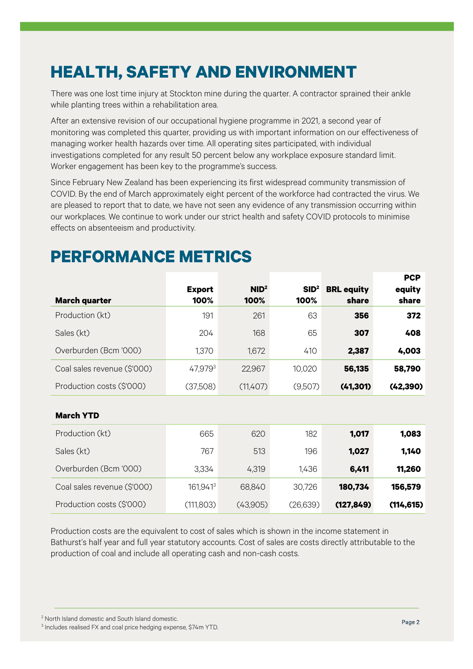# **HEALTH, SAFETY AND ENVIRONMENT**

There was one lost time injury at Stockton mine during the quarter. A contractor sprained their ankle while planting trees within a rehabilitation area.

After an extensive revision of our occupational hygiene programme in 2021, a second year of monitoring was completed this quarter, providing us with important information on our effectiveness of managing worker health hazards over time. All operating sites participated, with individual investigations completed for any result 50 percent below any workplace exposure standard limit. Worker engagement has been key to the programme's success.

Since February New Zealand has been experiencing its first widespread community transmission of COVID. By the end of March approximately eight percent of the workforce had contracted the virus. We are pleased to report that to date, we have not seen any evidence of any transmission occurring within our workplaces. We continue to work under our strict health and safety COVID protocols to minimise effects on absenteeism and productivity.

| <b>March quarter</b>        | <b>Export</b><br>100% | NID <sup>2</sup><br>100% | SID <sup>2</sup><br>100% | <b>BRL equity</b><br>share | гүг<br>equity<br>share |
|-----------------------------|-----------------------|--------------------------|--------------------------|----------------------------|------------------------|
|                             |                       |                          |                          |                            |                        |
| Production (kt)             | 191                   | 261                      | 63                       | 356                        | 372                    |
| Sales (kt)                  | 204                   | 168                      | 65                       | 307                        | 408                    |
| Overburden (Bcm '000)       | 1,370                 | 1,672                    | 410                      | 2,387                      | 4,003                  |
| Coal sales revenue (\$'000) | 47,9793               | 22,967                   | 10,020                   | 56,135                     | 58,790                 |
| Production costs (\$'000)   | (37,508)              | (11,407)                 | (9,507)                  | (41, 301)                  | (42, 390)              |
| <b>March YTD</b>            |                       |                          |                          |                            |                        |
| Production (kt)             | 665                   | 620                      | 182                      | 1,017                      | 1,083                  |
| Sales (kt)                  | 767                   | 513                      | 196                      | 1,027                      | 1,140                  |
| Overburden (Bcm '000)       | 3,334                 | 4,319                    | 1,436                    | 6,411                      | 11,260                 |
| Coal sales revenue (\$'000) | 161,9413              | 68,840                   | 30,726                   | 180,734                    | 156,579                |
| Production costs (\$'000)   | (111,803)             | (43,905)                 | (26, 639)                | (127, 849)                 | (114, 615)             |

# **PERFORMANCE METRICS**

Production costs are the equivalent to cost of sales which is shown in the income statement in Bathurst's half year and full year statutory accounts. Cost of sales are costs directly attributable to the production of coal and include all operating cash and non-cash costs.

<sup>2</sup> North Island domestic and South Island domestic.

**PCP** 

<sup>3</sup> Includes realised FX and coal price hedging expense, \$74m YTD.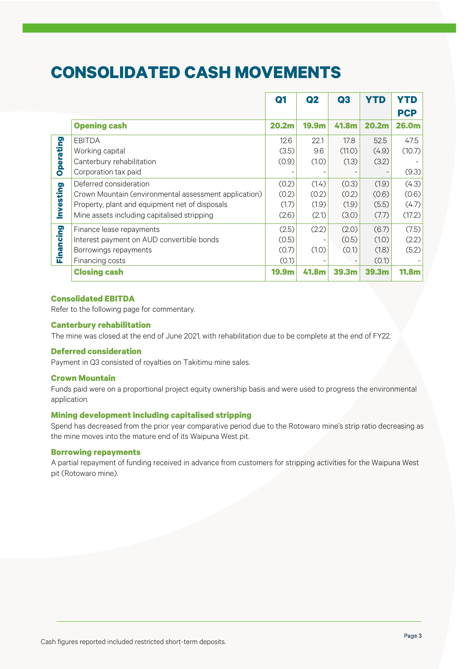## **CONSOLIDATED CASH MOVEMENTS**

|           |                                                       | Q <sub>1</sub>    | Q <sub>2</sub> | Q3     | <b>YTD</b>        | YTD                 |
|-----------|-------------------------------------------------------|-------------------|----------------|--------|-------------------|---------------------|
|           | <b>Opening cash</b>                                   | 20.2 <sub>m</sub> | 19.9m          | 41.8m  | 20.2m             | <b>PCP</b><br>26.0m |
|           | <b>EBITDA</b>                                         | 12.6              | 22.1           | 17.8   | 52.5              | 47.5                |
| Operating | Working capital                                       | (3.5)             | 9.6            | (11.0) | (4.9)             | (10.7)              |
|           | Canterbury rehabilitation                             | (0.9)             | (1.0)          | (1.3)  | (3.2)             |                     |
|           | Corporation tax paid                                  |                   |                |        |                   | (9.3)               |
| Investing | Deferred consideration                                | (0.2)             | (1.4)          | (0.3)  | (1.9)             | (4.3)               |
|           | Crown Mountain (environmental assessment application) | (0.2)             | (0.2)          | (0.2)  | (0.6)             | (0.6)               |
|           | Property, plant and equipment net of disposals        | (1.7)             | (1.9)          | (1.9)  | (5.5)             | (4.7)               |
|           | Mine assets including capitalised stripping           | (2.6)             | (2.1)          | (3.0)  | (7.7)             | (17.2)              |
|           | Finance lease repayments                              | (2.5)             | (2.2)          | (2.0)  | (6.7)             | (7.5)               |
| Financing | Interest payment on AUD convertible bonds             | (0.5)             |                | (0.5)  | (1.0)             | (2.2)               |
|           | Borrowings repayments                                 | (0.7)             | (1.0)          | (0.1)  | (1.8)             | (5.2)               |
|           | Financing costs                                       | (0.1)             |                |        | (0.1)             |                     |
|           | <b>Closing cash</b>                                   | 19.9m             | 41.8m          | 39.3m  | 39.3 <sub>m</sub> | <b>11.8m</b>        |

#### **Consolidated EBITDA**

Refer to the following page for commentary.

#### **Canterbury rehabilitation**

The mine was closed at the end of June 2021, with rehabilitation due to be complete at the end of FY22.

#### **Deferred consideration**

Payment in Q3 consisted of royalties on Takitimu mine sales.

#### **Crown Mountain**

Funds paid were on a proportional project equity ownership basis and were used to progress the environmental application.

#### **Mining development including capitalised stripping**

Spend has decreased from the prior year comparative period due to the Rotowaro mine's strip ratio decreasing as the mine moves into the mature end of its Waipuna West pit.

#### **Borrowing repayments**

A partial repayment of funding received in advance from customers for stripping activities for the Waipuna West pit (Rotowaro mine).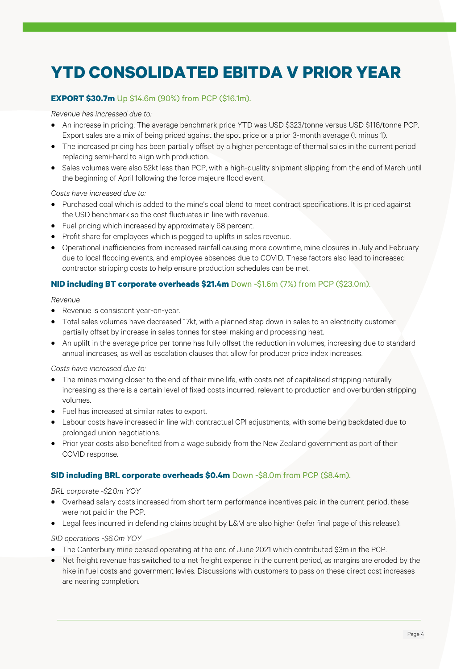# **YTD CONSOLIDATED EBITDA V PRIOR YEAR**

## **EXPORT \$30.7m** Up \$14.6m (90%) from PCP (\$16.1m).

#### *Revenue has increased due to:*

- An increase in pricing. The average benchmark price YTD was USD \$323/tonne versus USD \$116/tonne PCP. Export sales are a mix of being priced against the spot price or a prior 3-month average (t minus 1).
- The increased pricing has been partially offset by a higher percentage of thermal sales in the current period replacing semi-hard to align with production.
- Sales volumes were also 52kt less than PCP, with a high-quality shipment slipping from the end of March until the beginning of April following the force majeure flood event.

#### *Costs have increased due to:*

- Purchased coal which is added to the mine's coal blend to meet contract specifications. It is priced against the USD benchmark so the cost fluctuates in line with revenue.
- Fuel pricing which increased by approximately 68 percent.
- Profit share for employees which is pegged to uplifts in sales revenue.
- Operational inefficiencies from increased rainfall causing more downtime, mine closures in July and February due to local flooding events, and employee absences due to COVID. These factors also lead to increased contractor stripping costs to help ensure production schedules can be met.

## **NID including BT corporate overheads \$21.4m** Down -\$1.6m (7%) from PCP (\$23.0m).

#### *Revenue*

- Revenue is consistent year-on-year.
- Total sales volumes have decreased 17kt, with a planned step down in sales to an electricity customer partially offset by increase in sales tonnes for steel making and processing heat.
- An uplift in the average price per tonne has fully offset the reduction in volumes, increasing due to standard annual increases, as well as escalation clauses that allow for producer price index increases.

#### *Costs have increased due to:*

- The mines moving closer to the end of their mine life, with costs net of capitalised stripping naturally increasing as there is a certain level of fixed costs incurred, relevant to production and overburden stripping volumes.
- Fuel has increased at similar rates to export.
- Labour costs have increased in line with contractual CPI adjustments, with some being backdated due to prolonged union negotiations.
- Prior year costs also benefited from a wage subsidy from the New Zealand government as part of their COVID response.

## **SID including BRL corporate overheads \$0.4m** Down -\$8.0m from PCP (\$8.4m).

#### *BRL corporate -\$2.0m YOY*

- Overhead salary costs increased from short term performance incentives paid in the current period, these were not paid in the PCP.
- Legal fees incurred in defending claims bought by L&M are also higher (refer final page of this release).

## *SID operations -\$6.0m YOY*

- The Canterbury mine ceased operating at the end of June 2021 which contributed \$3m in the PCP.
- Net freight revenue has switched to a net freight expense in the current period, as margins are eroded by the hike in fuel costs and government levies. Discussions with customers to pass on these direct cost increases are nearing completion.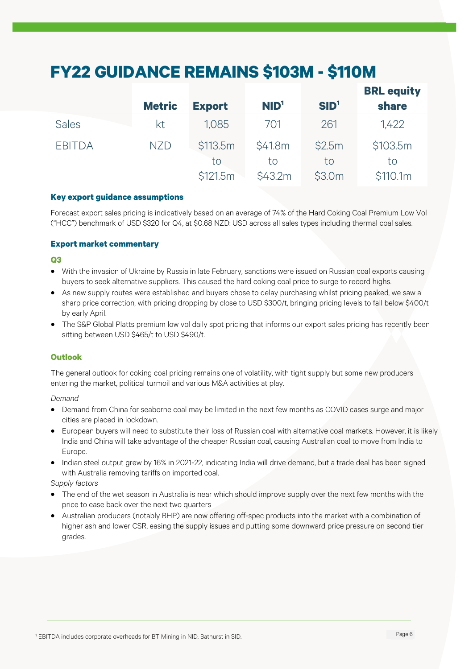# **FY22 GUIDANCE REMAINS \$103M - \$110M**

|               | <b>Metric</b> | <b>Export</b> | NID <sup>1</sup> | SID <sup>1</sup> | <b>BRL equity</b><br><b>share</b> |
|---------------|---------------|---------------|------------------|------------------|-----------------------------------|
| <b>Sales</b>  | kt            | 1.085         | 701              | 261              | 1,422                             |
| <b>EBITDA</b> | <b>NZD</b>    | \$113.5m      | \$41.8m          | \$2.5m           | \$103.5m                          |
|               |               | to            | to               | to               | to                                |
|               |               | \$121.5m      | \$43.2m          | \$3.0m           | \$110.1m                          |

## **Key export guidance assumptions**

Forecast export sales pricing is indicatively based on an average of 74% of the Hard Coking Coal Premium Low Vol ("HCC") benchmark of USD \$320 for Q4, at \$0.68 NZD: USD across all sales types including thermal coal sales.

#### **Export market commentary**

#### **Q3**

- With the invasion of Ukraine by Russia in late February, sanctions were issued on Russian coal exports causing buyers to seek alternative suppliers. This caused the hard coking coal price to surge to record highs.
- As new supply routes were established and buyers chose to delay purchasing whilst pricing peaked, we saw a sharp price correction, with pricing dropping by close to USD \$300/t, bringing pricing levels to fall below \$400/t by early April.
- The S&P Global Platts premium low vol daily spot pricing that informs our export sales pricing has recently been sitting between USD \$465/t to USD \$490/t.

## **Outlook**

The general outlook for coking coal pricing remains one of volatility, with tight supply but some new producers entering the market, political turmoil and various M&A activities at play.

#### *Demand*

- Demand from China for seaborne coal may be limited in the next few months as COVID cases surge and major cities are placed in lockdown.
- European buyers will need to substitute their loss of Russian coal with alternative coal markets. However, it is likely India and China will take advantage of the cheaper Russian coal, causing Australian coal to move from India to Europe.
- Indian steel output grew by 16% in 2021-22, indicating India will drive demand, but a trade deal has been signed with Australia removing tariffs on imported coal.

*Supply factors*

- The end of the wet season in Australia is near which should improve supply over the next few months with the price to ease back over the next two quarters
- Australian producers (notably BHP) are now offering off-spec products into the market with a combination of higher ash and lower CSR, easing the supply issues and putting some downward price pressure on second tier grades.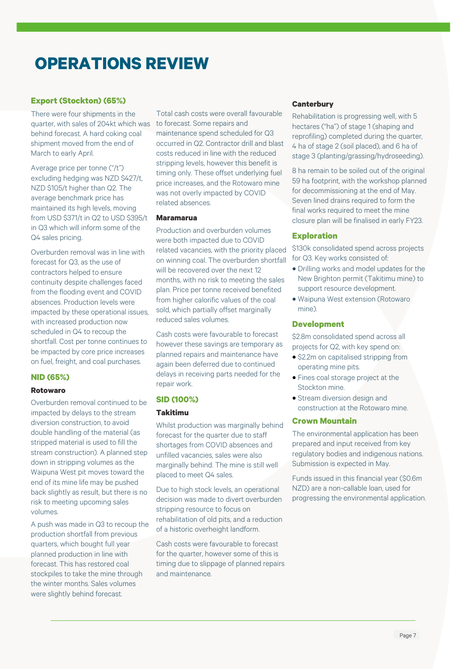## **OPERATIONS REVIEW**

## **Export (Stockton) (65%)**

There were four shipments in the quarter, with sales of 204kt which was behind forecast. A hard coking coal shipment moved from the end of March to early April.

Average price per tonne ("/t") excluding hedging was NZD \$427/t, NZD \$105/t higher than Q2. The average benchmark price has maintained its high levels, moving from USD \$371/t in Q2 to USD \$395/t in Q3 which will inform some of the Q4 sales pricing.

Overburden removal was in line with forecast for Q3, as the use of contractors helped to ensure continuity despite challenges faced from the flooding event and COVID absences. Production levels were impacted by these operational issues, with increased production now scheduled in Q4 to recoup the shortfall. Cost per tonne continues to be impacted by core price increases on fuel, freight, and coal purchases.

## **NID (65%)**

#### **Rotowaro**

Overburden removal continued to be impacted by delays to the stream diversion construction, to avoid double handling of the material (as stripped material is used to fill the stream construction). A planned step down in stripping volumes as the Waipuna West pit moves toward the end of its mine life may be pushed back slightly as result, but there is no risk to meeting upcoming sales volumes.

A push was made in Q3 to recoup the production shortfall from previous quarters, which bought full year planned production in line with forecast. This has restored coal stockpiles to take the mine through the winter months. Sales volumes were slightly behind forecast.

Total cash costs were overall favourable to forecast. Some repairs and maintenance spend scheduled for Q3 occurred in Q2. Contractor drill and blast costs reduced in line with the reduced stripping levels, however this benefit is timing only. These offset underlying fuel price increases, and the Rotowaro mine was not overly impacted by COVID related absences.

#### **Maramarua**

Production and overburden volumes were both impacted due to COVID related vacancies, with the priority placed on winning coal. The overburden shortfall will be recovered over the next 12 months, with no risk to meeting the sales plan. Price per tonne received benefited from higher calorific values of the coal sold, which partially offset marginally reduced sales volumes.

Cash costs were favourable to forecast however these savings are temporary as planned repairs and maintenance have again been deferred due to continued delays in receiving parts needed for the repair work.

## **SID (100%)**

## **Takitimu**

Whilst production was marginally behind forecast for the quarter due to staff shortages from COVID absences and unfilled vacancies, sales were also marginally behind. The mine is still well placed to meet Q4 sales.

Due to high stock levels, an operational decision was made to divert overburden stripping resource to focus on rehabilitation of old pits, and a reduction of a historic overheight landform.

Cash costs were favourable to forecast for the quarter, however some of this is timing due to slippage of planned repairs and maintenance.

#### **Canterbury**

Rehabilitation is progressing well, with 5 hectares ("ha") of stage 1 (shaping and reprofiling) completed during the quarter, 4 ha of stage 2 (soil placed), and 6 ha of stage 3 (planting/grassing/hydroseeding).

8 ha remain to be soiled out of the original 59 ha footprint, with the workshop planned for decommissioning at the end of May. Seven lined drains required to form the final works required to meet the mine closure plan will be finalised in early FY23.

#### **Exploration**

\$130k consolidated spend across projects for Q3. Key works consisted of:

- Drilling works and model updates for the New Brighton permit (Takitimu mine) to support resource development.
- Waipuna West extension (Rotowaro mine).

#### **Development**

\$2.8m consolidated spend across all projects for Q2, with key spend on:

- \$2.2m on capitalised stripping from operating mine pits.
- Fines coal storage project at the Stockton mine.
- Stream diversion design and construction at the Rotowaro mine.

#### **Crown Mountain**

The environmental application has been prepared and input received from key regulatory bodies and indigenous nations. Submission is expected in May.

Funds issued in this financial year (\$0.6m NZD) are a non-callable loan, used for progressing the environmental application.